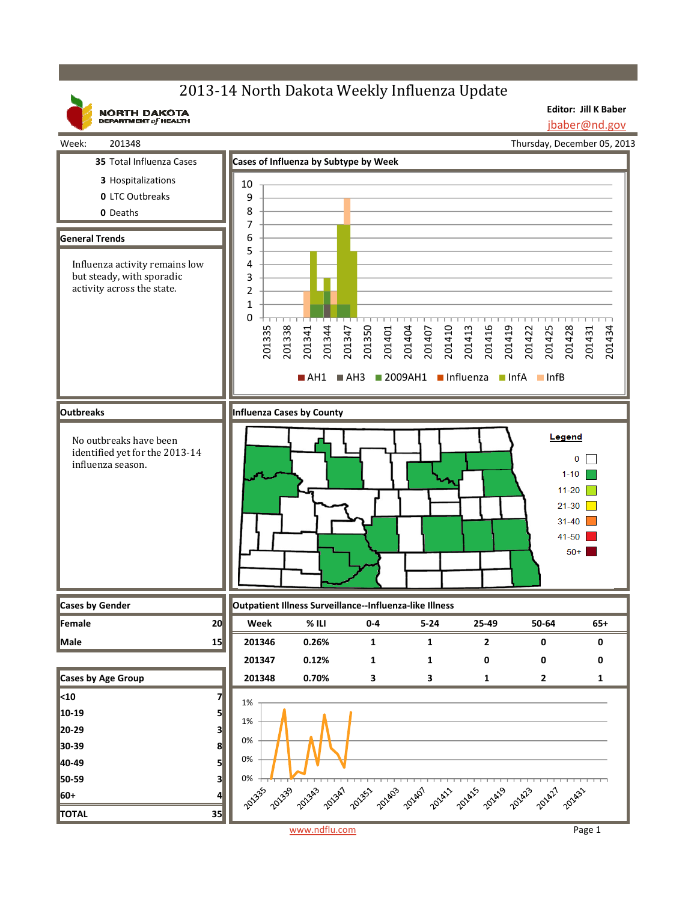## 2013-14 North Dakota Weekly Influenza Update

**Editor: Jill K Baber**